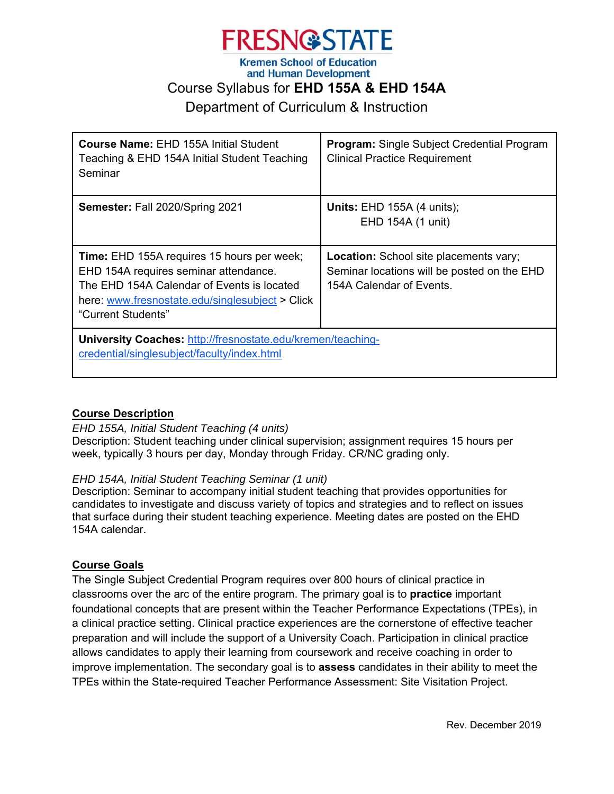

and Human Development

# Course Syllabus for **EHD 155A & EHD 154A**

Department of Curriculum & Instruction

| <b>Course Name: EHD 155A Initial Student</b><br>Teaching & EHD 154A Initial Student Teaching<br>Seminar                                                                                                           | <b>Program:</b> Single Subject Credential Program<br><b>Clinical Practice Requirement</b>                                |
|-------------------------------------------------------------------------------------------------------------------------------------------------------------------------------------------------------------------|--------------------------------------------------------------------------------------------------------------------------|
| Semester: Fall 2020/Spring 2021                                                                                                                                                                                   | <b>Units: EHD 155A (4 units);</b><br>EHD 154A (1 unit)                                                                   |
| <b>Time:</b> EHD 155A requires 15 hours per week;<br>EHD 154A requires seminar attendance.<br>The EHD 154A Calendar of Events is located<br>here: www.fresnostate.edu/singlesubject > Click<br>"Current Students" | <b>Location:</b> School site placements vary;<br>Seminar locations will be posted on the EHD<br>154A Calendar of Events. |
| University Coaches: http://fresnostate.edu/kremen/teaching-<br>credential/singlesubject/faculty/index.html                                                                                                        |                                                                                                                          |

# **Course Description**

*EHD 155A, Initial Student Teaching (4 units)* Description: Student teaching under clinical supervision; assignment requires 15 hours per week, typically 3 hours per day, Monday through Friday. CR/NC grading only.

# *EHD 154A, Initial Student Teaching Seminar (1 unit)*

Description: Seminar to accompany initial student teaching that provides opportunities for candidates to investigate and discuss variety of topics and strategies and to reflect on issues that surface during their student teaching experience. Meeting dates are posted on the EHD 154A calendar.

# **Course Goals**

The Single Subject Credential Program requires over 800 hours of clinical practice in classrooms over the arc of the entire program. The primary goal is to **practice** important foundational concepts that are present within the Teacher Performance Expectations (TPEs), in a clinical practice setting. Clinical practice experiences are the cornerstone of effective teacher preparation and will include the support of a University Coach. Participation in clinical practice allows candidates to apply their learning from coursework and receive coaching in order to improve implementation. The secondary goal is to **assess** candidates in their ability to meet the TPEs within the State-required Teacher Performance Assessment: Site Visitation Project.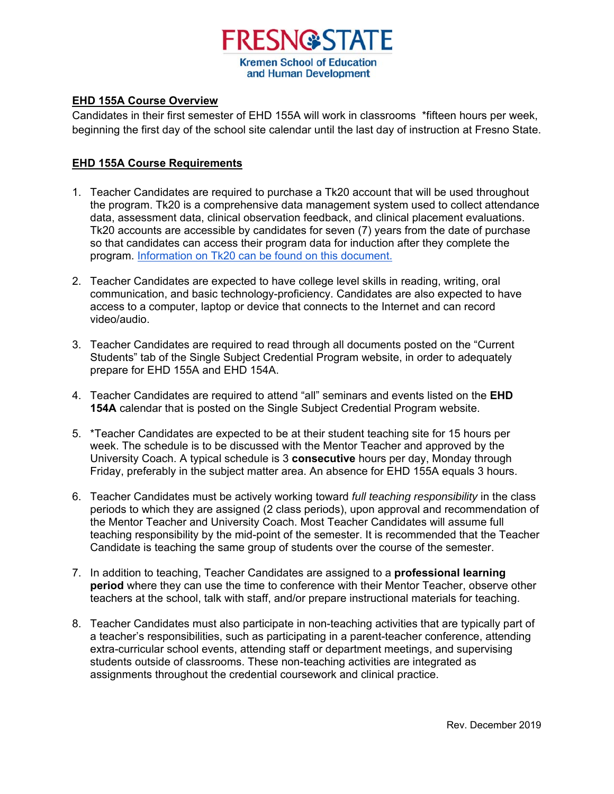

### **EHD 155A Course Overview**

Candidates in their first semester of EHD 155A will work in classrooms \*fifteen hours per week, beginning the first day of the school site calendar until the last day of instruction at Fresno State.

# **EHD 155A Course Requirements**

- 1. Teacher Candidates are required to purchase a Tk20 account that will be used throughout the program. Tk20 is a comprehensive data management system used to collect attendance data, assessment data, clinical observation feedback, and clinical placement evaluations. Tk20 accounts are accessible by candidates for seven (7) years from the date of purchase so that candidates can access their program data for induction after they complete the program. Information on Tk20 can be found on this document.
- 2. Teacher Candidates are expected to have college level skills in reading, writing, oral communication, and basic technology-proficiency. Candidates are also expected to have access to a computer, laptop or device that connects to the Internet and can record video/audio.
- 3. Teacher Candidates are required to read through all documents posted on the "Current Students" tab of the Single Subject Credential Program website, in order to adequately prepare for EHD 155A and EHD 154A.
- 4. Teacher Candidates are required to attend "all" seminars and events listed on the **EHD 154A** calendar that is posted on the Single Subject Credential Program website.
- 5. \*Teacher Candidates are expected to be at their student teaching site for 15 hours per week. The schedule is to be discussed with the Mentor Teacher and approved by the University Coach. A typical schedule is 3 **consecutive** hours per day, Monday through Friday, preferably in the subject matter area. An absence for EHD 155A equals 3 hours.
- 6. Teacher Candidates must be actively working toward *full teaching responsibility* in the class periods to which they are assigned (2 class periods), upon approval and recommendation of the Mentor Teacher and University Coach. Most Teacher Candidates will assume full teaching responsibility by the mid-point of the semester. It is recommended that the Teacher Candidate is teaching the same group of students over the course of the semester.
- 7. In addition to teaching, Teacher Candidates are assigned to a **professional learning period** where they can use the time to conference with their Mentor Teacher, observe other teachers at the school, talk with staff, and/or prepare instructional materials for teaching.
- 8. Teacher Candidates must also participate in non-teaching activities that are typically part of a teacher's responsibilities, such as participating in a parent-teacher conference, attending extra-curricular school events, attending staff or department meetings, and supervising students outside of classrooms. These non-teaching activities are integrated as assignments throughout the credential coursework and clinical practice.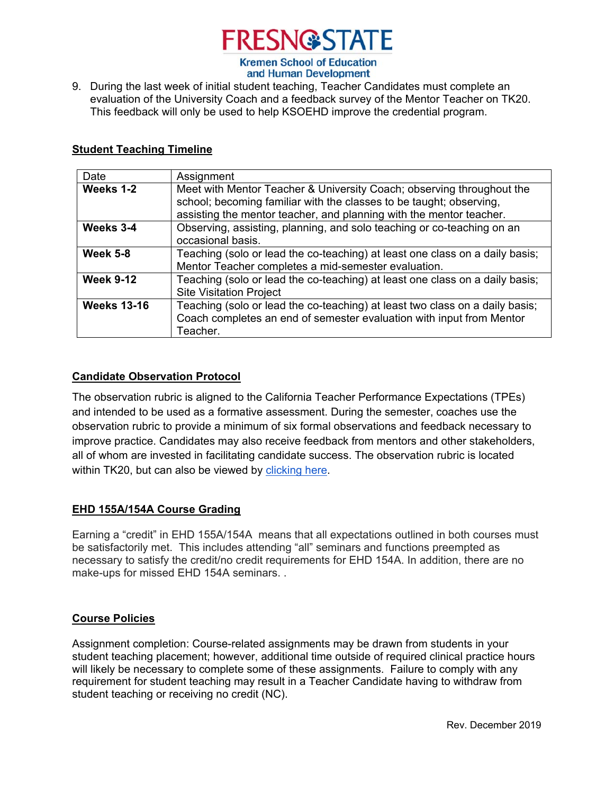

- and Human Development
- 9. During the last week of initial student teaching, Teacher Candidates must complete an evaluation of the University Coach and a feedback survey of the Mentor Teacher on TK20. This feedback will only be used to help KSOEHD improve the credential program.

## **Student Teaching Timeline**

| Date               | Assignment                                                                                                                                                                                                          |
|--------------------|---------------------------------------------------------------------------------------------------------------------------------------------------------------------------------------------------------------------|
| Weeks 1-2          | Meet with Mentor Teacher & University Coach; observing throughout the<br>school; becoming familiar with the classes to be taught; observing,<br>assisting the mentor teacher, and planning with the mentor teacher. |
| Weeks 3-4          | Observing, assisting, planning, and solo teaching or co-teaching on an<br>occasional basis.                                                                                                                         |
| <b>Week 5-8</b>    | Teaching (solo or lead the co-teaching) at least one class on a daily basis;<br>Mentor Teacher completes a mid-semester evaluation.                                                                                 |
| <b>Week 9-12</b>   | Teaching (solo or lead the co-teaching) at least one class on a daily basis;<br><b>Site Visitation Project</b>                                                                                                      |
| <b>Weeks 13-16</b> | Teaching (solo or lead the co-teaching) at least two class on a daily basis;<br>Coach completes an end of semester evaluation with input from Mentor<br>Teacher.                                                    |

## **Candidate Observation Protocol**

The observation rubric is aligned to the California Teacher Performance Expectations (TPEs) and intended to be used as a formative assessment. During the semester, coaches use the observation rubric to provide a minimum of six formal observations and feedback necessary to improve practice. Candidates may also receive feedback from mentors and other stakeholders, all of whom are invested in facilitating candidate success. The observation rubric is located within TK20, but can also be viewed by clicking here.

# **EHD 155A/154A Course Grading**

Earning a "credit" in EHD 155A/154A means that all expectations outlined in both courses must be satisfactorily met. This includes attending "all" seminars and functions preempted as necessary to satisfy the credit/no credit requirements for EHD 154A. In addition, there are no make-ups for missed EHD 154A seminars. .

#### **Course Policies**

Assignment completion: Course-related assignments may be drawn from students in your student teaching placement; however, additional time outside of required clinical practice hours will likely be necessary to complete some of these assignments. Failure to comply with any requirement for student teaching may result in a Teacher Candidate having to withdraw from student teaching or receiving no credit (NC).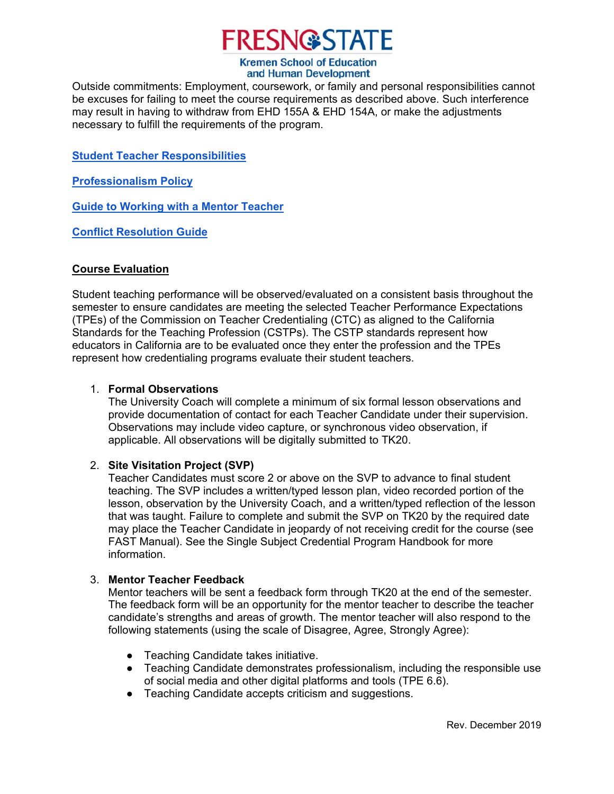

# and Human Development

Outside commitments: Employment, coursework, or family and personal responsibilities cannot be excuses for failing to meet the course requirements as described above. Such interference may result in having to withdraw from EHD 155A & EHD 154A, or make the adjustments necessary to fulfill the requirements of the program.

**Student Teacher Responsibilities**

**Professionalism Policy**

**Guide to Working with a Mentor Teacher**

**Conflict Resolution Guide**

# **Course Evaluation**

Student teaching performance will be observed/evaluated on a consistent basis throughout the semester to ensure candidates are meeting the selected Teacher Performance Expectations (TPEs) of the Commission on Teacher Credentialing (CTC) as aligned to the California Standards for the Teaching Profession (CSTPs). The CSTP standards represent how educators in California are to be evaluated once they enter the profession and the TPEs represent how credentialing programs evaluate their student teachers.

# 1. **Formal Observations**

The University Coach will complete a minimum of six formal lesson observations and provide documentation of contact for each Teacher Candidate under their supervision. Observations may include video capture, or synchronous video observation, if applicable. All observations will be digitally submitted to TK20.

# 2. **Site Visitation Project (SVP)**

Teacher Candidates must score 2 or above on the SVP to advance to final student teaching. The SVP includes a written/typed lesson plan, video recorded portion of the lesson, observation by the University Coach, and a written/typed reflection of the lesson that was taught. Failure to complete and submit the SVP on TK20 by the required date may place the Teacher Candidate in jeopardy of not receiving credit for the course (see FAST Manual). See the Single Subject Credential Program Handbook for more information.

# 3. **Mentor Teacher Feedback**

Mentor teachers will be sent a feedback form through TK20 at the end of the semester. The feedback form will be an opportunity for the mentor teacher to describe the teacher candidate's strengths and areas of growth. The mentor teacher will also respond to the following statements (using the scale of Disagree, Agree, Strongly Agree):

- Teaching Candidate takes initiative.
- Teaching Candidate demonstrates professionalism, including the responsible use of social media and other digital platforms and tools (TPE 6.6).
- Teaching Candidate accepts criticism and suggestions.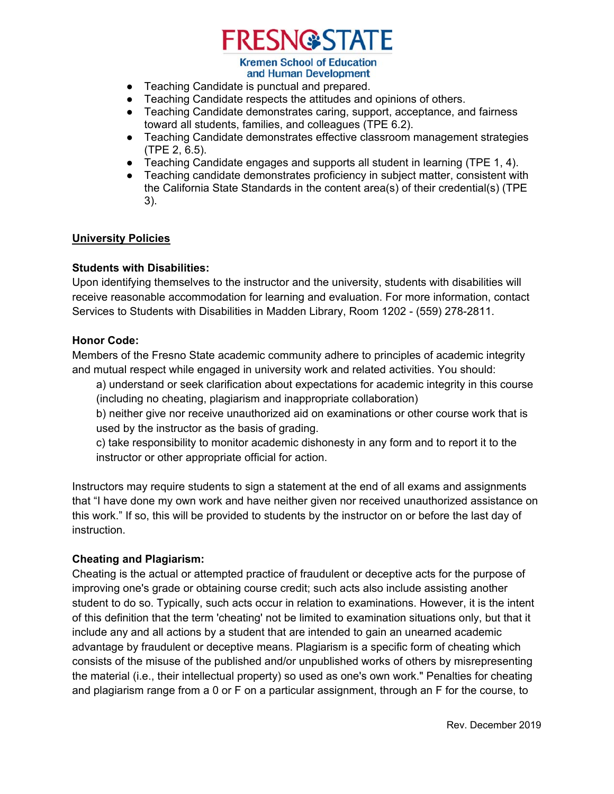# **FRESN@STATE**

#### **Kremen School of Education** and Human Development

- Teaching Candidate is punctual and prepared.
- Teaching Candidate respects the attitudes and opinions of others.
- Teaching Candidate demonstrates caring, support, acceptance, and fairness toward all students, families, and colleagues (TPE 6.2).
- Teaching Candidate demonstrates effective classroom management strategies (TPE 2, 6.5).
- Teaching Candidate engages and supports all student in learning (TPE 1, 4).
- Teaching candidate demonstrates proficiency in subject matter, consistent with the California State Standards in the content area(s) of their credential(s) (TPE 3).

## **University Policies**

## **Students with Disabilities:**

Upon identifying themselves to the instructor and the university, students with disabilities will receive reasonable accommodation for learning and evaluation. For more information, contact Services to Students with Disabilities in Madden Library, Room 1202 - (559) 278-2811.

#### **Honor Code:**

Members of the Fresno State academic community adhere to principles of academic integrity and mutual respect while engaged in university work and related activities. You should:

a) understand or seek clarification about expectations for academic integrity in this course (including no cheating, plagiarism and inappropriate collaboration)

b) neither give nor receive unauthorized aid on examinations or other course work that is used by the instructor as the basis of grading.

c) take responsibility to monitor academic dishonesty in any form and to report it to the instructor or other appropriate official for action.

Instructors may require students to sign a statement at the end of all exams and assignments that "I have done my own work and have neither given nor received unauthorized assistance on this work." If so, this will be provided to students by the instructor on or before the last day of instruction.

# **Cheating and Plagiarism:**

Cheating is the actual or attempted practice of fraudulent or deceptive acts for the purpose of improving one's grade or obtaining course credit; such acts also include assisting another student to do so. Typically, such acts occur in relation to examinations. However, it is the intent of this definition that the term 'cheating' not be limited to examination situations only, but that it include any and all actions by a student that are intended to gain an unearned academic advantage by fraudulent or deceptive means. Plagiarism is a specific form of cheating which consists of the misuse of the published and/or unpublished works of others by misrepresenting the material (i.e., their intellectual property) so used as one's own work." Penalties for cheating and plagiarism range from a 0 or F on a particular assignment, through an F for the course, to